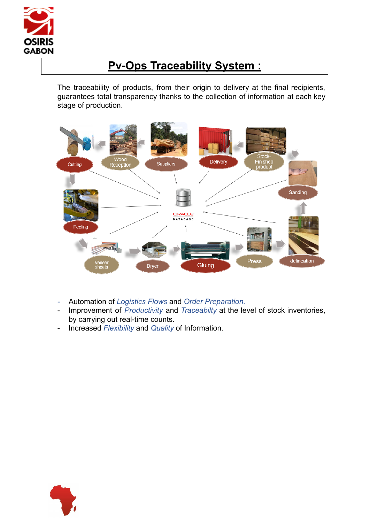

### **Pv-Ops Traceability System :**

The traceability of products, from their origin to delivery at the final recipients, guarantees total transparency thanks to the collection of information at each key stage of production.



- *-* Automation of *Logistics Flows* and *Order Preparation.*
- Improvement of *Productivity* and *Traceabilty* at the level of stock inventories, by carrying out real-time counts.
- Increased *Flexibility* and *Quality* of Information.

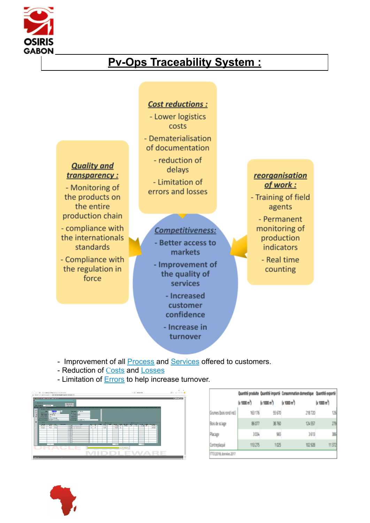

### **Pv-Ops Traceability System :**



- Improvement of all **Process** and **Services** offered to customers.
- R[eduction](https://blog.scallog.com/reduire-couts-logistiques-preparations-commandes) of Costs and Losses
- Limitation of Errors to help increase turnover.



|                           |                          |                          | Quantité produite Quantité importé Consommation domestique Quantité exporté |            |  |
|---------------------------|--------------------------|--------------------------|-----------------------------------------------------------------------------|------------|--|
|                           | (x 1000 m <sup>3</sup> ) | (x 1000 m <sup>3</sup> ) | (x 1000 m <sup>3</sup> )                                                    | (n 1000 n) |  |
| Grumes (bois rond ind.)   | 163176                   | 55670                    | 218720                                                                      | 126        |  |
| Bois de sciage            | 86,077                   | 38 760                   | 124557                                                                      | 279        |  |
| Placage                   | 30%                      | 965                      | 3613                                                                        | 遜          |  |
| Contreplacué              | 113 275                  | 1025                     | 102 928                                                                     | 11372      |  |
| IFTD (2019), données 2017 |                          |                          |                                                                             |            |  |

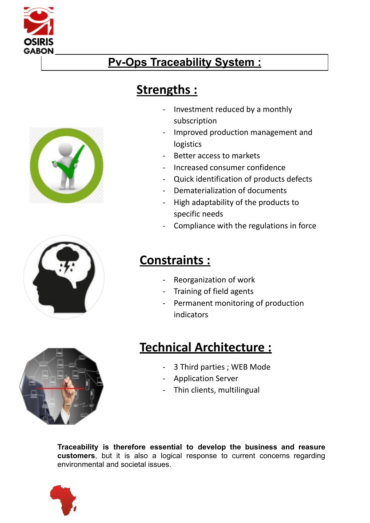

## **Pv-Ops Traceability System :**

## **Strengths :**

- Investment reduced by a monthly subscription
- Improved production management and logistics
- Better access to markets
- Increased consumer confidence
- Quick identification of products defects
- Dematerialization of documents
- High adaptability of the products to specific needs
- Compliance with the regulations in force

### **Constraints :**

- Reorganization of work
- Training of field agents
- Permanent monitoring of production indicators

# **Technical Architecture :**

- 3 Third parties ; WEB Mode
- Application Server
- Thin clients, multilingual

**Traceability is therefore essential to develop the business and reasure customers**, but it is also a logical response to current concerns regarding environmental and societal issues.